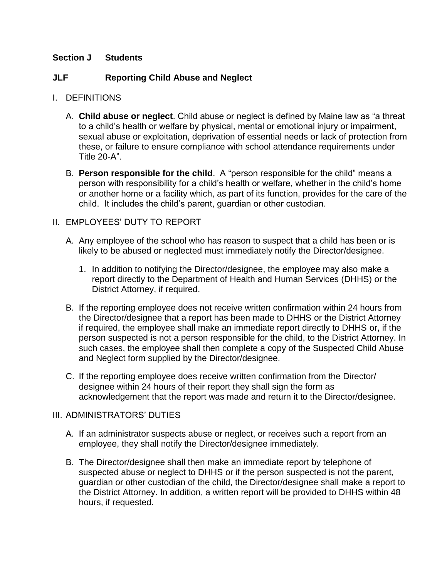## **Section J Students**

# **JLF Reporting Child Abuse and Neglect**

- I. DEFINITIONS
	- A. **Child abuse or neglect**. Child abuse or neglect is defined by Maine law as "a threat to a child's health or welfare by physical, mental or emotional injury or impairment, sexual abuse or exploitation, deprivation of essential needs or lack of protection from these, or failure to ensure compliance with school attendance requirements under Title 20-A".
	- B. **Person responsible for the child**. A "person responsible for the child" means a person with responsibility for a child's health or welfare, whether in the child's home or another home or a facility which, as part of its function, provides for the care of the child. It includes the child's parent, guardian or other custodian.

## II. EMPLOYEES' DUTY TO REPORT

- A. Any employee of the school who has reason to suspect that a child has been or is likely to be abused or neglected must immediately notify the Director/designee.
	- 1. In addition to notifying the Director/designee, the employee may also make a report directly to the Department of Health and Human Services (DHHS) or the District Attorney, if required.
- B. If the reporting employee does not receive written confirmation within 24 hours from the Director/designee that a report has been made to DHHS or the District Attorney if required, the employee shall make an immediate report directly to DHHS or, if the person suspected is not a person responsible for the child, to the District Attorney. In such cases, the employee shall then complete a copy of the Suspected Child Abuse and Neglect form supplied by the Director/designee.
- C. If the reporting employee does receive written confirmation from the Director/ designee within 24 hours of their report they shall sign the form as acknowledgement that the report was made and return it to the Director/designee.

### III. ADMINISTRATORS' DUTIES

- A. If an administrator suspects abuse or neglect, or receives such a report from an employee, they shall notify the Director/designee immediately.
- B. The Director/designee shall then make an immediate report by telephone of suspected abuse or neglect to DHHS or if the person suspected is not the parent, guardian or other custodian of the child, the Director/designee shall make a report to the District Attorney. In addition, a written report will be provided to DHHS within 48 hours, if requested.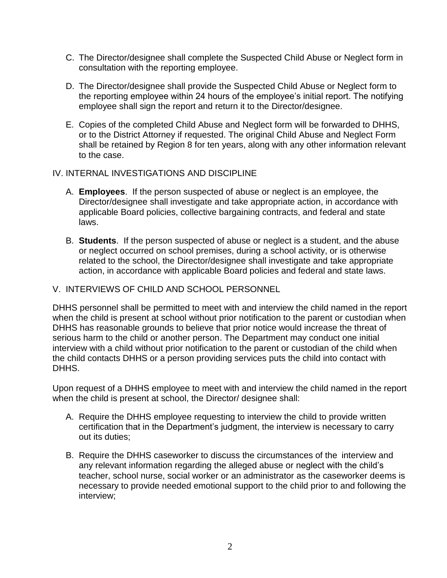- C. The Director/designee shall complete the Suspected Child Abuse or Neglect form in consultation with the reporting employee.
- D. The Director/designee shall provide the Suspected Child Abuse or Neglect form to the reporting employee within 24 hours of the employee's initial report. The notifying employee shall sign the report and return it to the Director/designee.
- E. Copies of the completed Child Abuse and Neglect form will be forwarded to DHHS, or to the District Attorney if requested. The original Child Abuse and Neglect Form shall be retained by Region 8 for ten years, along with any other information relevant to the case.

### IV. INTERNAL INVESTIGATIONS AND DISCIPLINE

- A. **Employees**. If the person suspected of abuse or neglect is an employee, the Director/designee shall investigate and take appropriate action, in accordance with applicable Board policies, collective bargaining contracts, and federal and state laws.
- B. **Students**. If the person suspected of abuse or neglect is a student, and the abuse or neglect occurred on school premises, during a school activity, or is otherwise related to the school, the Director/designee shall investigate and take appropriate action, in accordance with applicable Board policies and federal and state laws.

#### V. INTERVIEWS OF CHILD AND SCHOOL PERSONNEL

DHHS personnel shall be permitted to meet with and interview the child named in the report when the child is present at school without prior notification to the parent or custodian when DHHS has reasonable grounds to believe that prior notice would increase the threat of serious harm to the child or another person. The Department may conduct one initial interview with a child without prior notification to the parent or custodian of the child when the child contacts DHHS or a person providing services puts the child into contact with DHHS.

Upon request of a DHHS employee to meet with and interview the child named in the report when the child is present at school, the Director/ designee shall:

- A. Require the DHHS employee requesting to interview the child to provide written certification that in the Department's judgment, the interview is necessary to carry out its duties;
- B. Require the DHHS caseworker to discuss the circumstances of the interview and any relevant information regarding the alleged abuse or neglect with the child's teacher, school nurse, social worker or an administrator as the caseworker deems is necessary to provide needed emotional support to the child prior to and following the interview;